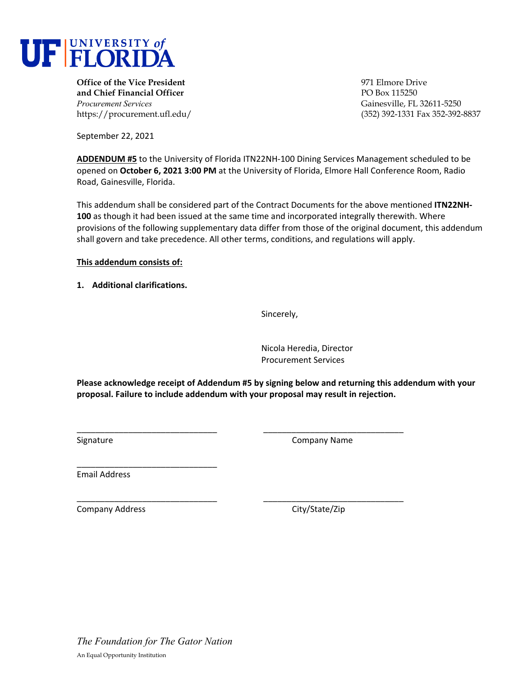

**Office of the Vice President** 971 Elmore Drive **and Chief Financial Officer PO Box 115250** *Procurement Services* Gainesville, FL 32611-5250

https://procurement.ufl.edu/ (352) 392-1331 Fax 352-392-8837

September 22, 2021

**ADDENDUM #5** to the University of Florida ITN22NH‐100 Dining Services Management scheduled to be opened on **October 6, 2021 3:00 PM** at the University of Florida, Elmore Hall Conference Room, Radio Road, Gainesville, Florida.

This addendum shall be considered part of the Contract Documents for the above mentioned **ITN22NH‐ 100** as though it had been issued at the same time and incorporated integrally therewith. Where provisions of the following supplementary data differ from those of the original document, this addendum shall govern and take precedence. All other terms, conditions, and regulations will apply.

## **This addendum consists of:**

**1. Additional clarifications.**

Sincerely,

Nicola Heredia, Director Procurement Services

**Please acknowledge receipt of Addendum #5 by signing below and returning this addendum with your proposal. Failure to include addendum with your proposal may result in rejection.**

\_\_\_\_\_\_\_\_\_\_\_\_\_\_\_\_\_\_\_\_\_\_\_\_\_\_\_\_\_\_ \_\_\_\_\_\_\_\_\_\_\_\_\_\_\_\_\_\_\_\_\_\_\_\_\_\_\_\_\_\_

\_\_\_\_\_\_\_\_\_\_\_\_\_\_\_\_\_\_\_\_\_\_\_\_\_\_\_\_\_\_ \_\_\_\_\_\_\_\_\_\_\_\_\_\_\_\_\_\_\_\_\_\_\_\_\_\_\_\_\_\_

Signature **Company Name** 

Email Address

\_\_\_\_\_\_\_\_\_\_\_\_\_\_\_\_\_\_\_\_\_\_\_\_\_\_\_\_\_\_

Company Address City/State/Zip